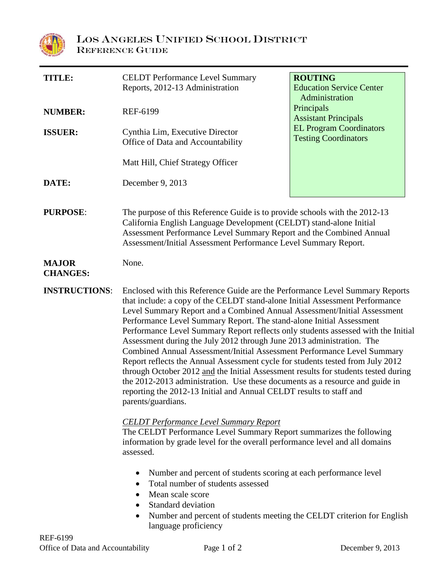

| <b>TITLE:</b>                   | <b>CELDT</b> Performance Level Summary<br>Reports, 2012-13 Administration                                                                                                                                                                                                                                                                                                                                                                                                                                                                                                                                                                                                                                                                                                                                                                                                                                      | <b>ROUTING</b><br><b>Education Service Center</b><br>Administration<br>Principals<br><b>Assistant Principals</b><br><b>EL Program Coordinators</b><br><b>Testing Coordinators</b> |
|---------------------------------|----------------------------------------------------------------------------------------------------------------------------------------------------------------------------------------------------------------------------------------------------------------------------------------------------------------------------------------------------------------------------------------------------------------------------------------------------------------------------------------------------------------------------------------------------------------------------------------------------------------------------------------------------------------------------------------------------------------------------------------------------------------------------------------------------------------------------------------------------------------------------------------------------------------|-----------------------------------------------------------------------------------------------------------------------------------------------------------------------------------|
| <b>NUMBER:</b>                  | <b>REF-6199</b>                                                                                                                                                                                                                                                                                                                                                                                                                                                                                                                                                                                                                                                                                                                                                                                                                                                                                                |                                                                                                                                                                                   |
| <b>ISSUER:</b>                  | Cynthia Lim, Executive Director<br>Office of Data and Accountability                                                                                                                                                                                                                                                                                                                                                                                                                                                                                                                                                                                                                                                                                                                                                                                                                                           |                                                                                                                                                                                   |
|                                 | Matt Hill, Chief Strategy Officer                                                                                                                                                                                                                                                                                                                                                                                                                                                                                                                                                                                                                                                                                                                                                                                                                                                                              |                                                                                                                                                                                   |
| DATE:                           | December 9, 2013                                                                                                                                                                                                                                                                                                                                                                                                                                                                                                                                                                                                                                                                                                                                                                                                                                                                                               |                                                                                                                                                                                   |
| <b>PURPOSE:</b>                 | The purpose of this Reference Guide is to provide schools with the 2012-13<br>California English Language Development (CELDT) stand-alone Initial<br>Assessment Performance Level Summary Report and the Combined Annual<br>Assessment/Initial Assessment Performance Level Summary Report.                                                                                                                                                                                                                                                                                                                                                                                                                                                                                                                                                                                                                    |                                                                                                                                                                                   |
| <b>MAJOR</b><br><b>CHANGES:</b> | None.                                                                                                                                                                                                                                                                                                                                                                                                                                                                                                                                                                                                                                                                                                                                                                                                                                                                                                          |                                                                                                                                                                                   |
| <b>INSTRUCTIONS:</b>            | Enclosed with this Reference Guide are the Performance Level Summary Reports<br>that include: a copy of the CELDT stand-alone Initial Assessment Performance<br>Level Summary Report and a Combined Annual Assessment/Initial Assessment<br>Performance Level Summary Report. The stand-alone Initial Assessment<br>Performance Level Summary Report reflects only students assessed with the Initial<br>Assessment during the July 2012 through June 2013 administration. The<br>Combined Annual Assessment/Initial Assessment Performance Level Summary<br>Report reflects the Annual Assessment cycle for students tested from July 2012<br>through October 2012 and the Initial Assessment results for students tested during<br>the 2012-2013 administration. Use these documents as a resource and guide in<br>reporting the 2012-13 Initial and Annual CELDT results to staff and<br>parents/guardians. |                                                                                                                                                                                   |
|                                 | <b>CELDT</b> Performance Level Summary Report<br>The CELDT Performance Level Summary Report summarizes the following<br>information by grade level for the overall performance level and all domains<br>assessed.                                                                                                                                                                                                                                                                                                                                                                                                                                                                                                                                                                                                                                                                                              |                                                                                                                                                                                   |
|                                 | Number and percent of students scoring at each performance level<br>$\bullet$<br>Total number of students assessed<br>$\bullet$<br>Mean scale score<br>$\bullet$<br>Standard deviation<br>Number and percent of students meeting the CELDT criterion for English<br>٠<br>language proficiency                                                                                                                                                                                                                                                                                                                                                                                                                                                                                                                                                                                                                  |                                                                                                                                                                                   |